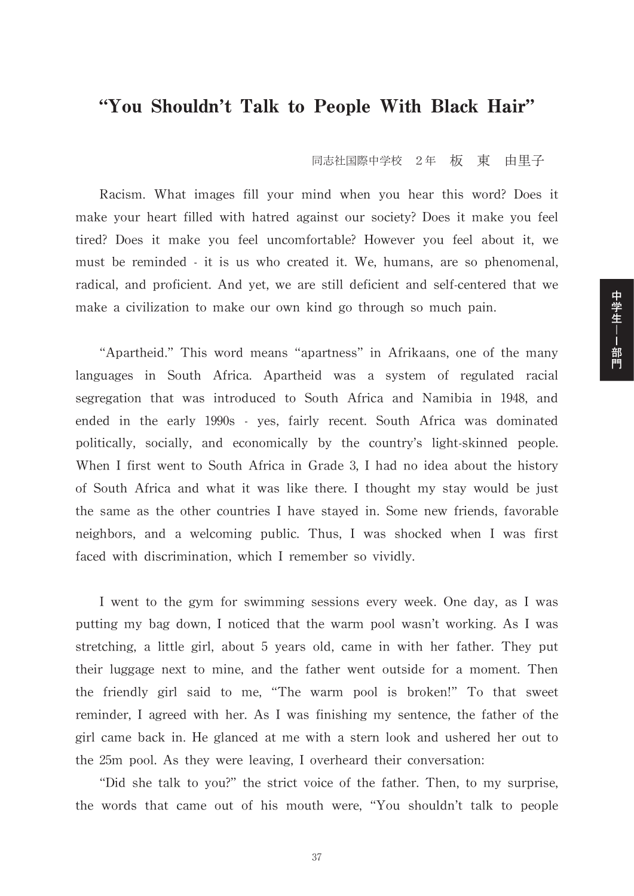## "You Shouldn't Talk to People With Black Hair"

同志社国際中学校 2年 板 東 由里子

Racism. What images fill your mind when you hear this word? Does it make your heart filled with hatred against our society? Does it make you feel tired? Does it make you feel uncomfortable? However you feel about it, we must be reminded - it is us who created it. We, humans, are so phenomenal, radical, and proficient. And yet, we are still deficient and self-centered that we make a civilization to make our own kind go through so much pain.

"Apartheid." This word means "apartness" in Afrikaans, one of the many languages in South Africa. Apartheid was a system of regulated racial segregation that was introduced to South Africa and Namibia in 1948, and ended in the early 1990s - yes, fairly recent. South Africa was dominated politically, socially, and economically by the country's light-skinned people. When I first went to South Africa in Grade 3, I had no idea about the history of South Africa and what it was like there. I thought my stay would be just the same as the other countries I have stayed in. Some new friends, favorable neighbors, and a welcoming public. Thus, I was shocked when I was first faced with discrimination, which I remember so vividly.

I went to the gym for swimming sessions every week. One day, as I was putting my bag down, I noticed that the warm pool wasn't working. As I was stretching, a little girl, about 5 years old, came in with her father. They put their luggage next to mine, and the father went outside for a moment. Then the friendly girl said to me, "The warm pool is broken!" To that sweet reminder, I agreed with her. As I was finishing my sentence, the father of the girl came back in. He glanced at me with a stern look and ushered her out to the 25m pool. As they were leaving, I overheard their conversation:

"Did she talk to you?" the strict voice of the father. Then, to my surprise, the words that came out of his mouth were, "You shouldn't talk to people 中学生--部門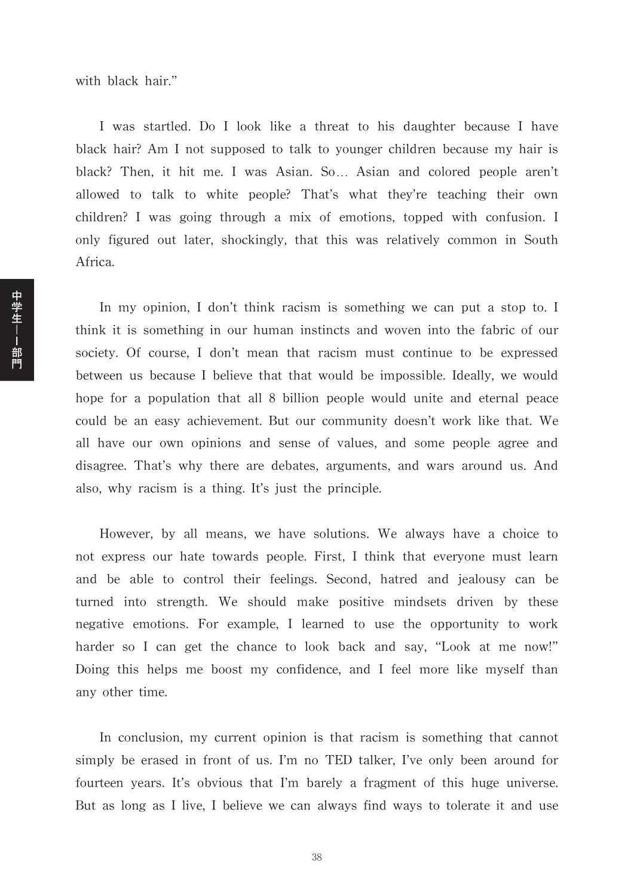with black hair."

I was startled. Do I look like a threat to his daughter because I have black hair? Am I not supposed to talk to younger children because my hair is black? Then, it hit me. I was Asian. So... Asian and colored people aren't allowed to talk to white people? That's what they're teaching their own children? I was going through a mix of emotions, topped with confusion. I only figured out later, shockingly, that this was relatively common in South Africa.

In my opinion, I don't think racism is something we can put a stop to. I think it is something in our human instincts and woven into the fabric of our society. Of course, I don't mean that racism must continue to be expressed between us because I believe that that would be impossible. Ideally, we would hope for a population that all 8 billion people would unite and eternal peace could be an easy achievement. But our community doesn't work like that. We all have our own opinions and sense of values, and some people agree and disagree. That's why there are debates, arguments, and wars around us. And also, why racism is a thing. It's just the principle.

However, by all means, we have solutions. We always have a choice to not express our hate towards people. First, I think that everyone must learn and be able to control their feelings. Second, hatred and jealousy can be turned into strength. We should make positive mindsets driven by these negative emotions. For example, I learned to use the opportunity to work harder so I can get the chance to look back and say, "Look at me now!" Doing this helps me boost my confidence, and I feel more like myself than any other time.

In conclusion, my current opinion is that racism is something that cannot simply be erased in front of us. I'm no TED talker, I've only been around for fourteen years. It's obvious that I'm barely a fragment of this huge universe. But as long as I live, I believe we can always find ways to tolerate it and use